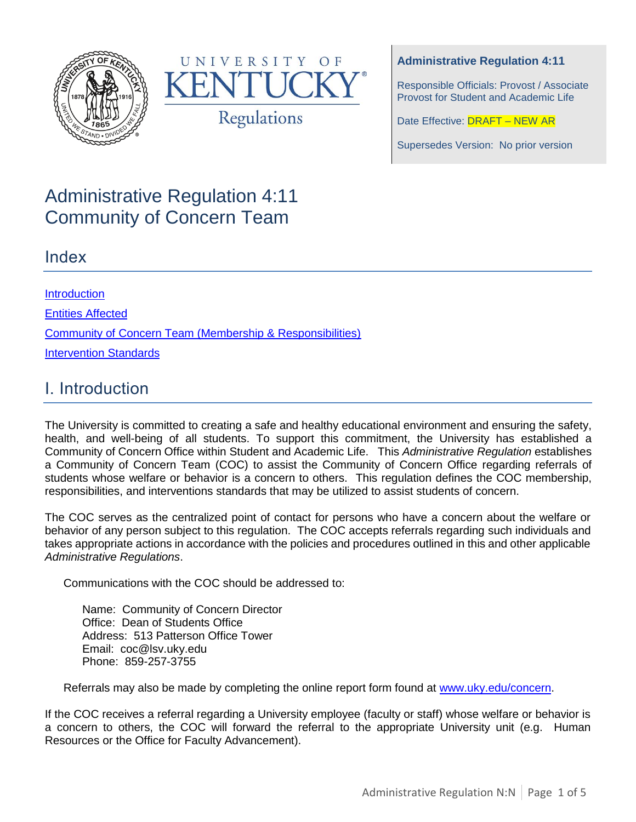



### **Administrative Regulation 4:11**

Responsible Officials: Provost / Associate Provost for Student and Academic Life

Date Effective: **DRAFT - NEW AR** 

Supersedes Version: No prior version

# Administrative Regulation 4:11 Community of Concern Team

### Index

**[Introduction](#page-0-0)** [Entities Affected](#page-1-0) [Community of Concern Team \(Membership & Responsibilities\)](#page-1-1) **[Intervention Standards](#page-2-0)** 

# <span id="page-0-0"></span>I. Introduction

The University is committed to creating a safe and healthy educational environment and ensuring the safety, health, and well-being of all students. To support this commitment, the University has established a Community of Concern Office within Student and Academic Life. This *Administrative Regulation* establishes a Community of Concern Team (COC) to assist the Community of Concern Office regarding referrals of students whose welfare or behavior is a concern to others. This regulation defines the COC membership, responsibilities, and interventions standards that may be utilized to assist students of concern.

The COC serves as the centralized point of contact for persons who have a concern about the welfare or behavior of any person subject to this regulation. The COC accepts referrals regarding such individuals and takes appropriate actions in accordance with the policies and procedures outlined in this and other applicable *Administrative Regulations*.

Communications with the COC should be addressed to:

Name: Community of Concern Director Office: Dean of Students Office Address: 513 Patterson Office Tower Email: coc@lsv.uky.edu Phone: 859-257-3755

Referrals may also be made by completing the online report form found at [www.uky.edu/concern.](http://www.uky.edu/concern)

If the COC receives a referral regarding a University employee (faculty or staff) whose welfare or behavior is a concern to others, the COC will forward the referral to the appropriate University unit (e.g. Human Resources or the Office for Faculty Advancement).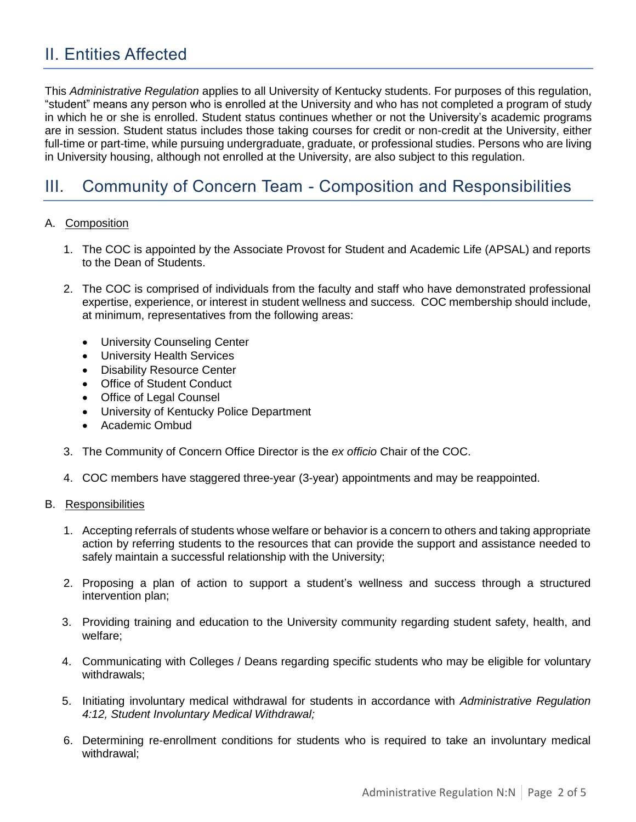# <span id="page-1-0"></span>II. Entities Affected

This *Administrative Regulation* applies to all University of Kentucky students. For purposes of this regulation, "student" means any person who is enrolled at the University and who has not completed a program of study in which he or she is enrolled. Student status continues whether or not the University's academic programs are in session. Student status includes those taking courses for credit or non-credit at the University, either full-time or part-time, while pursuing undergraduate, graduate, or professional studies. Persons who are living in University housing, although not enrolled at the University, are also subject to this regulation.

# <span id="page-1-1"></span>III. Community of Concern Team - Composition and Responsibilities

#### A. Composition

- 1. The COC is appointed by the Associate Provost for Student and Academic Life (APSAL) and reports to the Dean of Students.
- 2. The COC is comprised of individuals from the faculty and staff who have demonstrated professional expertise, experience, or interest in student wellness and success. COC membership should include, at minimum, representatives from the following areas:
	- University Counseling Center
	- University Health Services
	- Disability Resource Center
	- Office of Student Conduct
	- Office of Legal Counsel
	- University of Kentucky Police Department
	- Academic Ombud
- 3. The Community of Concern Office Director is the *ex officio* Chair of the COC.
- 4. COC members have staggered three-year (3-year) appointments and may be reappointed.

#### B. Responsibilities

- 1. Accepting referrals of students whose welfare or behavior is a concern to others and taking appropriate action by referring students to the resources that can provide the support and assistance needed to safely maintain a successful relationship with the University;
- 2. Proposing a plan of action to support a student's wellness and success through a structured intervention plan;
- 3. Providing training and education to the University community regarding student safety, health, and welfare;
- 4. Communicating with Colleges / Deans regarding specific students who may be eligible for voluntary withdrawals;
- 5. Initiating involuntary medical withdrawal for students in accordance with *Administrative Regulation 4:12, Student Involuntary Medical Withdrawal;*
- 6. Determining re-enrollment conditions for students who is required to take an involuntary medical withdrawal;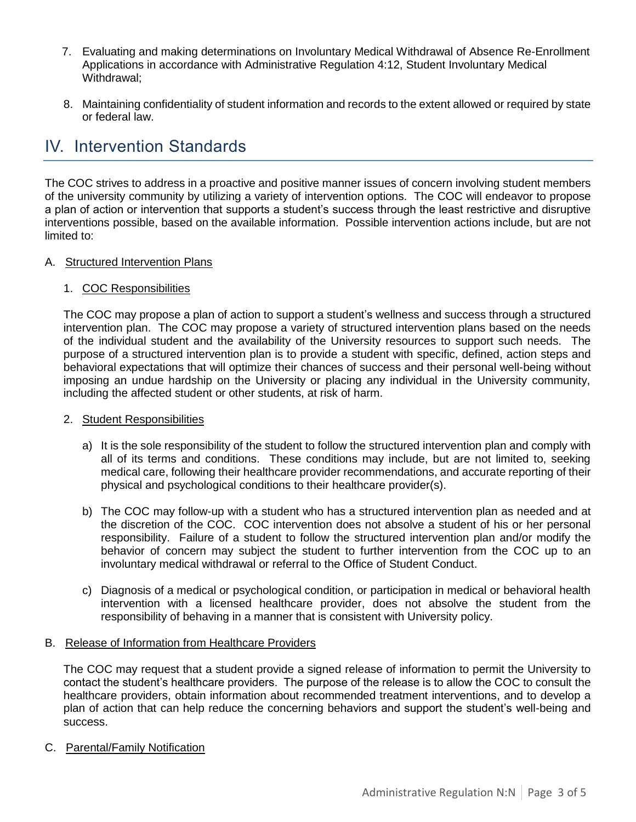- 7. Evaluating and making determinations on Involuntary Medical Withdrawal of Absence Re-Enrollment Applications in accordance with Administrative Regulation 4:12, Student Involuntary Medical Withdrawal;
- 8. Maintaining confidentiality of student information and records to the extent allowed or required by state or federal law.

# <span id="page-2-0"></span>IV. Intervention Standards

The COC strives to address in a proactive and positive manner issues of concern involving student members of the university community by utilizing a variety of intervention options. The COC will endeavor to propose a plan of action or intervention that supports a student's success through the least restrictive and disruptive interventions possible, based on the available information. Possible intervention actions include, but are not limited to:

### A. Structured Intervention Plans

### 1. COC Responsibilities

The COC may propose a plan of action to support a student's wellness and success through a structured intervention plan. The COC may propose a variety of structured intervention plans based on the needs of the individual student and the availability of the University resources to support such needs. The purpose of a structured intervention plan is to provide a student with specific, defined, action steps and behavioral expectations that will optimize their chances of success and their personal well-being without imposing an undue hardship on the University or placing any individual in the University community, including the affected student or other students, at risk of harm.

### 2. Student Responsibilities

- a) It is the sole responsibility of the student to follow the structured intervention plan and comply with all of its terms and conditions. These conditions may include, but are not limited to, seeking medical care, following their healthcare provider recommendations, and accurate reporting of their physical and psychological conditions to their healthcare provider(s).
- b) The COC may follow-up with a student who has a structured intervention plan as needed and at the discretion of the COC. COC intervention does not absolve a student of his or her personal responsibility. Failure of a student to follow the structured intervention plan and/or modify the behavior of concern may subject the student to further intervention from the COC up to an involuntary medical withdrawal or referral to the Office of Student Conduct.
- c) Diagnosis of a medical or psychological condition, or participation in medical or behavioral health intervention with a licensed healthcare provider, does not absolve the student from the responsibility of behaving in a manner that is consistent with University policy.

### B. Release of Information from Healthcare Providers

The COC may request that a student provide a signed release of information to permit the University to contact the student's healthcare providers. The purpose of the release is to allow the COC to consult the healthcare providers, obtain information about recommended treatment interventions, and to develop a plan of action that can help reduce the concerning behaviors and support the student's well-being and success.

C. Parental/Family Notification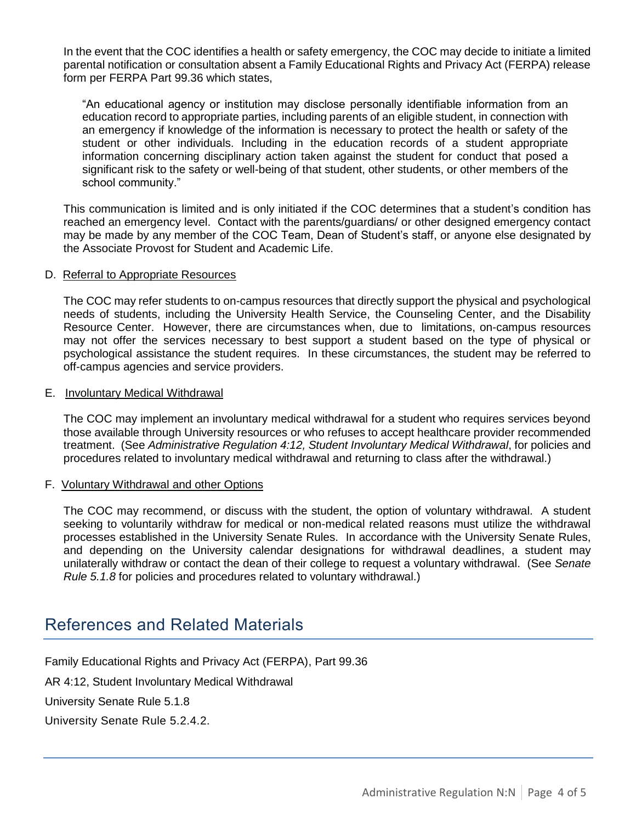In the event that the COC identifies a health or safety emergency, the COC may decide to initiate a limited parental notification or consultation absent a Family Educational Rights and Privacy Act (FERPA) release form per FERPA Part 99.36 which states,

"An educational agency or institution may disclose personally identifiable information from an education record to appropriate parties, including parents of an eligible student, in connection with an emergency if knowledge of the information is necessary to protect the health or safety of the student or other individuals. Including in the education records of a student appropriate information concerning disciplinary action taken against the student for conduct that posed a significant risk to the safety or well-being of that student, other students, or other members of the school community."

This communication is limited and is only initiated if the COC determines that a student's condition has reached an emergency level. Contact with the parents/guardians/ or other designed emergency contact may be made by any member of the COC Team, Dean of Student's staff, or anyone else designated by the Associate Provost for Student and Academic Life.

#### D. Referral to Appropriate Resources

The COC may refer students to on-campus resources that directly support the physical and psychological needs of students, including the University Health Service, the Counseling Center, and the Disability Resource Center. However, there are circumstances when, due to limitations, on-campus resources may not offer the services necessary to best support a student based on the type of physical or psychological assistance the student requires. In these circumstances, the student may be referred to off-campus agencies and service providers.

#### E. Involuntary Medical Withdrawal

The COC may implement an involuntary medical withdrawal for a student who requires services beyond those available through University resources or who refuses to accept healthcare provider recommended treatment. (See *Administrative Regulation 4:12, Student Involuntary Medical Withdrawal*, for policies and procedures related to involuntary medical withdrawal and returning to class after the withdrawal.)

#### F. Voluntary Withdrawal and other Options

The COC may recommend, or discuss with the student, the option of voluntary withdrawal. A student seeking to voluntarily withdraw for medical or non-medical related reasons must utilize the withdrawal processes established in the University Senate Rules. In accordance with the University Senate Rules, and depending on the University calendar designations for withdrawal deadlines, a student may unilaterally withdraw or contact the dean of their college to request a voluntary withdrawal. (See *Senate Rule 5.1.8* for policies and procedures related to voluntary withdrawal.)

## References and Related Materials

Family Educational Rights and Privacy Act (FERPA), Part 99.36

AR 4:12, Student Involuntary Medical Withdrawal

University Senate Rule 5.1.8

University Senate Rule 5.2.4.2.